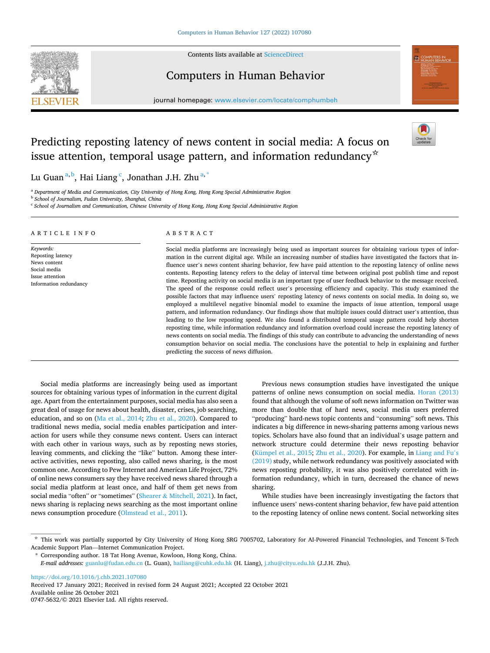Contents lists available at [ScienceDirect](www.sciencedirect.com/science/journal/07475632)



# Computers in Human Behavior

journal homepage: [www.elsevier.com/locate/comphumbeh](https://www.elsevier.com/locate/comphumbeh) 



# Predicting reposting latency of news content in social media: A focus on issue attention, temporal usage pattern, and information redundancy<sup>☆</sup>



Lu Guan<sup>a,b</sup>, Hai Liang <sup>c</sup>, Jonathan J.H. Zhu<sup>a,\*</sup>

<sup>a</sup> *Department of Media and Communication, City University of Hong Kong, Hong Kong Special Administrative Region* 

<sup>b</sup> *School of Journalism, Fudan University, Shanghai, China* 

<sup>c</sup> *School of Journalism and Communication, Chinese University of Hong Kong, Hong Kong Special Administrative Region* 

## ARTICLE INFO

*Keywords:*  Reposting latency News content Social media Issue attention Information redundancy ABSTRACT

Social media platforms are increasingly being used as important sources for obtaining various types of information in the current digital age. While an increasing number of studies have investigated the factors that influence user's news content sharing behavior, few have paid attention to the reposting latency of online news contents. Reposting latency refers to the delay of interval time between original post publish time and repost time. Reposting activity on social media is an important type of user feedback behavior to the message received. The speed of the response could reflect user's processing efficiency and capacity. This study examined the possible factors that may influence users' reposting latency of news contents on social media. In doing so, we employed a multilevel negative binomial model to examine the impacts of issue attention, temporal usage pattern, and information redundancy. Our findings show that multiple issues could distract user's attention, thus leading to the low reposting speed. We also found a distributed temporal usage pattern could help shorten reposting time, while information redundancy and information overload could increase the reposting latency of news contents on social media. The findings of this study can contribute to advancing the understanding of news consumption behavior on social media. The conclusions have the potential to help in explaining and further predicting the success of news diffusion.

Social media platforms are increasingly being used as important sources for obtaining various types of information in the current digital age. Apart from the entertainment purposes, social media has also seen a great deal of usage for news about health, disaster, crises, job searching, education, and so on ([Ma et al., 2014;](#page-6-0) [Zhu et al., 2020\)](#page-7-0). Compared to traditional news media, social media enables participation and interaction for users while they consume news content. Users can interact with each other in various ways, such as by reposting news stories, leaving comments, and clicking the "like" button. Among these interactive activities, news reposting, also called news sharing, is the most common one. According to Pew Internet and American Life Project, 72% of online news consumers say they have received news shared through a social media platform at least once, and half of them get news from social media "often" or "sometimes" (Shearer & [Mitchell, 2021](#page-7-0)). In fact, news sharing is replacing news searching as the most important online news consumption procedure ([Olmstead et al., 2011\)](#page-7-0).

Previous news consumption studies have investigated the unique patterns of online news consumption on social media. [Horan \(2013\)](#page-6-0)  found that although the volume of soft news information on Twitter was more than double that of hard news, social media users preferred "producing" hard-news topic contents and "consuming" soft news. This indicates a big difference in news-sharing patterns among various news topics. Scholars have also found that an individual's usage pattern and network structure could determine their news reposting behavior ([Kümpel et al., 2015](#page-6-0); [Zhu et al., 2020](#page-7-0)). For example, in [Liang and Fu](#page-6-0)'s [\(2019\)](#page-6-0) study, while network redundancy was positively associated with news reposting probability, it was also positively correlated with information redundancy, which in turn, decreased the chance of news sharing.

While studies have been increasingly investigating the factors that influence users' news-content sharing behavior, few have paid attention to the reposting latency of online news content. Social networking sites

<https://doi.org/10.1016/j.chb.2021.107080>

Available online 26 October 2021 0747-5632/© 2021 Elsevier Ltd. All rights reserved. Received 17 January 2021; Received in revised form 24 August 2021; Accepted 22 October 2021

<sup>☆</sup> This work was partially supported by City University of Hong Kong SRG 7005702, Laboratory for AI-Powered Financial Technologies, and Tencent S-Tech Academic Support Plan—Internet Communication Project.

<sup>\*</sup> Corresponding author. 18 Tat Hong Avenue, Kowloon, Hong Kong, China.

*E-mail addresses:* [guanlu@fudan.edu.cn](mailto:guanlu@fudan.edu.cn) (L. Guan), [hailiang@cuhk.edu.hk](mailto:hailiang@cuhk.edu.hk) (H. Liang), [j.zhu@cityu.edu.hk](mailto:j.zhu@cityu.edu.hk) (J.J.H. Zhu).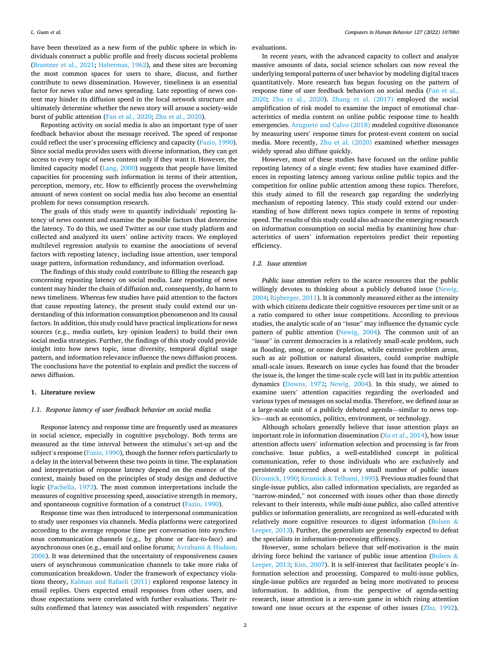have been theorized as a new form of the public sphere in which individuals construct a public profile and freely discuss societal problems ([Brantner et al., 2021;](#page-6-0) [Habermas, 1962\)](#page-6-0), and these sites are becoming the most common spaces for users to share, discuss, and further contribute to news dissemination. However, timeliness is an essential factor for news value and news spreading. Late reposting of news content may hinder its diffusion speed in the local network structure and ultimately determine whether the news story will arouse a society-wide burst of public attention ([Fan et al., 2020](#page-6-0); [Zhu et al., 2020](#page-7-0)).

Reposting activity on social media is also an important type of user feedback behavior about the message received. The speed of response could reflect the user's processing efficiency and capacity ([Fazio, 1990](#page-6-0)). Since social media provides users with diverse information, they can get access to every topic of news content only if they want it. However, the limited capacity model ([Lang, 2000](#page-6-0)) suggests that people have limited capacities for processing such information in terms of their attention, perception, memory, etc. How to efficiently process the overwhelming amount of news content on social media has also become an essential problem for news consumption research.

The goals of this study were to quantify individuals' reposting latency of news content and examine the possible factors that determine the latency. To do this, we used Twitter as our case study platform and collected and analyzed its users' online activity traces. We employed multilevel regression analysis to examine the associations of several factors with reposting latency, including issue attention, user temporal usage pattern, information redundancy, and information overload.

The findings of this study could contribute to filling the research gap concerning reposting latency on social media. Late reposting of news content may hinder the chain of diffusion and, consequently, do harm to news timeliness. Whereas few studies have paid attention to the factors that cause reposting latency, the present study could extend our understanding of this information consumption phenomenon and its causal factors. In addition, this study could have practical implications for news sources (e.g., media outlets, key opinion leaders) to build their own social media strategies. Further, the findings of this study could provide insight into how news topic, issue diversity, temporal digital usage pattern, and information relevance influence the news diffusion process. The conclusions have the potential to explain and predict the success of news diffusion.

# **1. Literature review**

# *1.1. Response latency of user feedback behavior on social media*

Response latency and response time are frequently used as measures in social science, especially in cognitive psychology. Both terms are measured as the time interval between the stimulus's set-up and the subject's response [\(Fazio, 1990\)](#page-6-0), though the former refers particularly to a delay in the interval between these two points in time. The explanation and interpretation of response latency depend on the essence of the context, mainly based on the principles of study design and deductive logic ([Pachella, 1973\)](#page-7-0). The most common interpretations include the measures of cognitive processing speed, associative strength in memory, and spontaneous cognitive formation of a construct ([Fazio, 1990](#page-6-0)).

Response time was then introduced to interpersonal communication to study user responses via channels. Media platforms were categorized according to the average response time per conversation into synchronous communication channels (e.g., by phone or face-to-face) and asynchronous ones (e.g., email and online forums; [Avrahami](#page-6-0) & Hudson, [2006\)](#page-6-0). It was determined that the uncertainty of responsiveness causes users of asynchronous communication channels to take more risks of communication breakdown. Under the framework of expectancy violations theory, [Kalman and Rafaeli \(2011\)](#page-6-0) explored response latency in email replies. Users expected email responses from other users, and those expectations were correlated with further evaluations. Their results confirmed that latency was associated with responders' negative evaluations.

In recent years, with the advanced capacity to collect and analyze massive amounts of data, social science scholars can now reveal the underlying temporal patterns of user behavior by modeling digital traces quantitatively. More research has begun focusing on the pattern of response time of user feedback behaviors on social media [\(Fan et al.,](#page-6-0)  [2020;](#page-6-0) [Zhu et al., 2020\)](#page-7-0). [Zhang et al. \(2017\)](#page-7-0) employed the social amplification of risk model to examine the impact of emotional characteristics of media content on online public response time to health emergencies. [Aruguete and Calvo \(2018\)](#page-6-0) modeled cognitive dissonance by measuring users' response times for protest-event content on social media. More recently, [Zhu et al. \(2020\)](#page-7-0) examined whether messages widely spread also diffuse quickly.

However, most of these studies have focused on the online public reposting latency of a single event; few studies have examined differences in reposting latency among various online public topics and the competition for online public attention among these topics. Therefore, this study aimed to fill the research gap regarding the underlying mechanism of reposting latency. This study could extend our understanding of how different news topics compete in terms of reposting speed. The results of this study could also advance the emerging research on information consumption on social media by examining how characteristics of users' information repertoires predict their reposting efficiency.

# *1.2. Issue attention*

*Public issue attention* refers to the scarce resources that the public willingly devotes to thinking about a publicly debated issue (Newig, [2004; Ripberger, 2011\)](#page-7-0). It is commonly measured either as the intensity with which citizens dedicate their cognitive resources per time unit or as a ratio compared to other issue competitions. According to previous studies, the analytic scale of an "issue" may influence the dynamic cycle pattern of public attention [\(Newig, 2004\)](#page-7-0). The common unit of an "issue" in current democracies is a relatively small-scale problem, such as flooding, smog, or ozone depletion, while extensive problem areas, such as air pollution or natural disasters, could comprise multiple small-scale issues. Research on issue cycles has found that the broader the issue is, the longer the time-scale cycle will last in its public attention dynamics [\(Downs, 1972](#page-6-0); [Newig, 2004](#page-7-0)). In this study, we aimed to examine users' attention capacities regarding the overloaded and various types of messages on social media. Therefore, we defined *issue* as a large-scale unit of a publicly debated agenda—similar to news topics—such as economics, politics, environment, or technology.

Although scholars generally believe that issue attention plays an important role in information dissemination ([Xu et al., 2014](#page-7-0)), how issue attention affects users' information selection and processing is far from conclusive. Issue publics, a well-established concept in political communication, refer to those individuals who are exclusively and persistently concerned about a very small number of public issues ([Krosnick, 1990](#page-6-0); Krosnick & [Telhami, 1995\)](#page-6-0). Previous studies found that single-issue publics, also called information specialists, are regarded as "narrow-minded," not concerned with issues other than those directly relevant to their interests, while *multi-issue publics*, also called attentive publics or information generalists, are recognized as well-educated with relatively more cognitive resources to digest information [\(Bolsen](#page-6-0) & [Leeper, 2013\)](#page-6-0). Further, the generalists are generally expected to defeat the specialists in information-processing efficiency.

However, some scholars believe that self-motivation is the main driving force behind the variance of public issue attention [\(Bolsen](#page-6-0) & [Leeper, 2013;](#page-6-0) [Kim, 2007\)](#page-6-0). It is self-interest that facilitates people's information selection and processing. Compared to multi-issue publics, single-issue publics are regarded as being more motivated to process information. In addition, from the perspective of agenda-setting research, issue attention is a zero-sum game in which rising attention toward one issue occurs at the expense of other issues ([Zhu, 1992](#page-7-0)).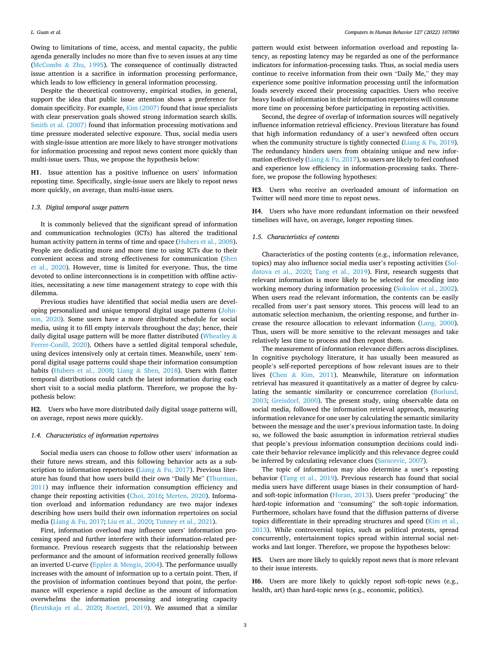<span id="page-2-0"></span>Owing to limitations of time, access, and mental capacity, the public agenda generally includes no more than five to seven issues at any time (McCombs & [Zhu, 1995\)](#page-7-0). The consequence of continually distracted issue attention is a sacrifice in information processing performance, which leads to low efficiency in general information processing.

Despite the theoretical controversy, empirical studies, in general, support the idea that public issue attention shows a preference for domain specificity. For example, [Kim \(2007\)](#page-6-0) found that issue specialists with clear preservation goals showed strong information search skills. [Smith et al. \(2007\)](#page-7-0) found that information processing motivations and time pressure moderated selective exposure. Thus, social media users with single-issue attention are more likely to have stronger motivations for information processing and repost news content more quickly than multi-issue users. Thus, we propose the hypothesis below:

**H1**. Issue attention has a positive influence on users' information reposting time. Specifically, single-issue users are likely to repost news more quickly, on average, than multi-issue users.

# *1.3. Digital temporal usage pattern*

It is commonly believed that the significant spread of information and communication technologies (ICTs) has altered the traditional human activity pattern in terms of time and space ([Hubers et al., 2008](#page-6-0)). People are dedicating more and more time to using ICTs due to their convenient access and strong effectiveness for communication ([Shen](#page-7-0)  [et al., 2020](#page-7-0)). However, time is limited for everyone. Thus, the time devoted to online interconnections is in competition with offline activities, necessitating a new time management strategy to cope with this dilemma.

Previous studies have identified that social media users are developing personalized and unique temporal digital usage patterns ([John](#page-6-0)[son, 2020\)](#page-6-0). Some users have a more distributed schedule for social media, using it to fill empty intervals throughout the day; hence, their daily digital usage pattern will be more flatter distributed ([Wheatley](#page-7-0) & [Ferrer-Conill, 2020](#page-7-0)). Others have a settled digital temporal schedule, using devices intensively only at certain times. Meanwhile, users' temporal digital usage patterns could shape their information consumption habits ([Hubers et al., 2008;](#page-6-0) Liang & [Shen, 2018](#page-6-0)). Users with flatter temporal distributions could catch the latest information during each short visit to a social media platform. Therefore, we propose the hypothesis below:

**H2**. Users who have more distributed daily digital usage patterns will, on average, repost news more quickly.

## *1.4. Characteristics of information repertoires*

Social media users can choose to follow other users' information as their future news stream, and this following behavior acts as a subscription to information repertoires (Liang  $\&$  [Fu, 2017\)](#page-6-0). Previous literature has found that how users build their own "Daily Me" [\(Thurman,](#page-7-0)  [2011\)](#page-7-0) may influence their information consumption efficiency and change their reposting activities ([Choi, 2016](#page-6-0); [Merten, 2020](#page-7-0)). Information overload and information redundancy are two major indexes describing how users build their own information repertoires on social media (Liang & [Fu, 2017](#page-6-0); [Liu et al., 2020;](#page-6-0) [Tunney et al., 2021\)](#page-7-0).

First, information overload may influence users' information processing speed and further interfere with their information-related performance. Previous research suggests that the relationship between performance and the amount of information received generally follows an inverted U-curve (Eppler & [Mengis, 2004\)](#page-6-0). The performance usually increases with the amount of information up to a certain point. Then, if the provision of information continues beyond that point, the performance will experience a rapid decline as the amount of information overwhelms the information processing and integrating capacity ([Reutskaja et al., 2020;](#page-7-0) [Roetzel, 2019](#page-7-0)). We assumed that a similar

pattern would exist between information overload and reposting latency, as reposting latency may be regarded as one of the performance indicators for information-processing tasks. Thus, as social media users continue to receive information from their own "Daily Me," they may experience some positive information processing until the information loads severely exceed their processing capacities. Users who receive heavy loads of information in their information repertoires will consume more time on processing before participating in reposting activities.

Second, the degree of overlap of information sources will negatively influence information retrieval efficiency. Previous literature has found that high information redundancy of a user's newsfeed often occurs when the community structure is tightly connected (Liang & [Fu, 2019](#page-6-0)). The redundancy hinders users from obtaining unique and new infor-mation effectively (Liang & [Fu, 2017\)](#page-6-0), so users are likely to feel confused and experience low efficiency in information-processing tasks. Therefore, we propose the following hypotheses:

**H3**. Users who receive an overloaded amount of information on Twitter will need more time to repost news.

**H4**. Users who have more redundant information on their newsfeed timelines will have, on average, longer reposting times.

# *1.5. Characteristics of contents*

Characteristics of the posting contents (e.g., information relevance, topics) may also influence social media user's reposting activities [\(Sol](#page-7-0)[datova et al., 2020](#page-7-0); [Tang et al., 2019\)](#page-7-0). First, research suggests that relevant information is more likely to be selected for encoding into working memory during information processing ([Sokolov et al., 2002](#page-7-0)). When users read the relevant information, the contents can be easily recalled from user's past sensory stores. This process will lead to an automatic selection mechanism, the orienting response, and further increase the resource allocation to relevant information [\(Lang, 2000](#page-6-0)). Thus, users will be more sensitive to the relevant messages and take relatively less time to process and then repost them.

The measurement of information relevance differs across disciplines. In cognitive psychology literature, it has usually been measured as people's self-reported perceptions of how relevant issues are to their lives (Chen & [Kim, 2011](#page-6-0)). Meanwhile, literature on information retrieval has measured it quantitatively as a matter of degree by calculating the semantic similarity or concurrence correlation [\(Borlund,](#page-6-0)  [2003;](#page-6-0) [Greisdorf, 2000\)](#page-6-0). The present study, using observable data on social media, followed the information retrieval approach, measuring information relevance for one user by calculating the semantic similarity between the message and the user's previous information taste. In doing so, we followed the basic assumption in information retrieval studies that people's previous information consumption decisions could indicate their behavior relevance implicitly and this relevance degree could be inferred by calculating relevance clues [\(Saracevic, 2007\)](#page-7-0).

The topic of information may also determine a user's reposting behavior ([Tang et al., 2019\)](#page-7-0). Previous research has found that social media users have different usage biases in their consumption of hardand soft-topic information [\(Horan, 2013\)](#page-6-0). Users prefer "producing" the hard-topic information and "consuming" the soft-topic information. Furthermore, scholars have found that the diffusion patterns of diverse topics differentiate in their spreading structures and speed ([Kim et al.,](#page-6-0)  [2013\)](#page-6-0). While controversial topics, such as political protests, spread concurrently, entertainment topics spread within internal social networks and last longer. Therefore, we propose the hypotheses below:

**H5**. Users are more likely to quickly repost news that is more relevant to their issue interests.

**H6**. Users are more likely to quickly repost soft-topic news (e.g., health, art) than hard-topic news (e.g., economic, politics).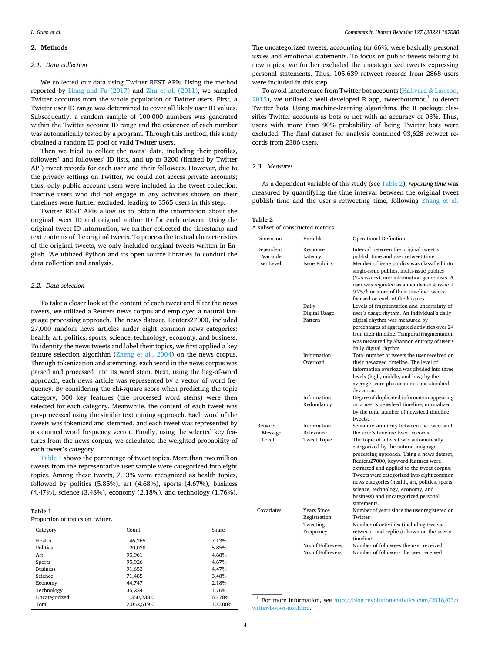# **2. Methods**

# *2.1. Data collection*

We collected our data using Twitter REST APIs. Using the method reported by [Liang and Fu \(2017\)](#page-6-0) and [Zhu et al. \(2011\)](#page-7-0), we sampled Twitter accounts from the whole population of Twitter users. First, a Twitter user ID range was determined to cover all likely user ID values. Subsequently, a random sample of 100,000 numbers was generated within the Twitter account ID range and the existence of each number was automatically tested by a program. Through this method, this study obtained a random ID pool of valid Twitter users.

Then we tried to collect the users' data, including their profiles, followers' and followees' ID lists, and up to 3200 (limited by Twitter API) tweet records for each user and their followees. However, due to the privacy settings on Twitter, we could not access private accounts; thus, only public account users were included in the tweet collection. Inactive users who did not engage in any activities shown on their timelines were further excluded, leading to 3565 users in this step.

Twitter REST APIs allow us to obtain the information about the original tweet ID and original author ID for each retweet. Using the original tweet ID information, we further collected the timestamp and text contents of the original tweets. To process the textual characteristics of the original tweets, we only included original tweets written in English. We utilized Python and its open source libraries to conduct the data collection and analysis.

# *2.2. Data selection*

To take a closer look at the content of each tweet and filter the news tweets, we utilized a Reuters news corpus and employed a natural language processing approach. The news dataset, Reuters27000, included 27,000 random news articles under eight common news categories: health, art, politics, sports, science, technology, economy, and business. To identity the news tweets and label their topics, we first applied a key feature selection algorithm [\(Zheng et al., 2004\)](#page-7-0) on the news corpus. Through tokenization and stemming, each word in the news corpus was parsed and processed into its word stem. Next, using the bag-of-word approach, each news article was represented by a vector of word frequency. By considering the chi-square score when predicting the topic category, 300 key features (the processed word stems) were then selected for each category. Meanwhile, the content of each tweet was pre-processed using the similar text mining approach. Each word of the tweets was tokenized and stemmed, and each tweet was represented by a stemmed word frequency vector. Finally, using the selected key features from the news corpus, we calculated the weighted probability of each tweet's category.

Table 1 shows the percentage of tweet topics. More than two million tweets from the representative user sample were categorized into eight topics. Among these tweets, 7.13% were recognized as health topics, followed by politics (5.85%), art (4.68%), sports (4.67%), business (4.47%), science (3.48%), economy (2.18%), and technology (1.76%).

| ĸ<br>U<br>н |  |
|-------------|--|
|-------------|--|

### Proportion of topics on twitter.

| Category        | Count       | Share   |
|-----------------|-------------|---------|
| Health          | 146,265     | 7.13%   |
| Politics        | 120,020     | 5.85%   |
| Art             | 95.961      | 4.68%   |
| Sports          | 95,926      | 4.67%   |
| <b>Business</b> | 91,653      | 4.47%   |
| Science         | 71,485      | 3.48%   |
| Economy         | 44.747      | 2.18%   |
| Technology      | 36,224      | 1.76%   |
| Uncategorized   | 1,350,238.0 | 65.78%  |
| Total           | 2,052,519.0 | 100.00% |

The uncategorized tweets, accounting for 66%, were basically personal issues and emotional statements. To focus on public tweets relating to new topics, we further excluded the uncategorized tweets expressing personal statements. Thus, 105,639 retweet records from 2868 users were included in this step.

To avoid interference from Twitter bot accounts ([Hallvard](#page-6-0) & Larsson, [2015\)](#page-6-0), we utilized a well-developed R app, tweetbotornot, to detect Twitter bots. Using machine-learning algorithms, the R package classifies Twitter accounts as bots or not with an accuracy of 93%. Thus, users with more than 90% probability of being Twitter bots were excluded. The final dataset for analysis contained 93,628 retweet records from 2386 users.

# *2.3. Measures*

As a dependent variable of this study (see Table 2), *reposting time* was measured by quantifying the time interval between the original tweet publish time and the user's retweeting time, following [Zhang et al.](#page-7-0) 

#### **Table 2**

A subset of constructed metrics.

| Dimension                           | Variable                                                                                     | Operational Definition                                                                                                                                                                                                                                                                                                                                                                                                                             |
|-------------------------------------|----------------------------------------------------------------------------------------------|----------------------------------------------------------------------------------------------------------------------------------------------------------------------------------------------------------------------------------------------------------------------------------------------------------------------------------------------------------------------------------------------------------------------------------------------------|
| Dependent<br>Variable<br>User Level | Response<br>Latency<br><b>Issue Publics</b>                                                  | Interval between the original tweet's<br>publish time and user retweet time.<br>Member of issue publics was classified into<br>single-issue publics, multi-issue publics<br>(2–5 issues), and information generalists. A<br>user was regarded as a member of $k$ issue if<br>$0.75/k$ or more of their timeline tweets<br>focused on each of the $k$ issues.                                                                                       |
|                                     | Daily<br>Digital Usage<br>Pattern                                                            | Levels of fragmentation and uncertainty of<br>user's usage rhythm. An individual's daily<br>digital rhythm was measured by<br>percentages of aggregated activities over 24<br>h on their timeline. Temporal fragmentation<br>was measured by Shannon entropy of user's<br>daily digital rhythm.                                                                                                                                                    |
|                                     | Information<br>Overload                                                                      | Total number of tweets the user received on<br>their newsfeed timeline. The level of<br>information overload was divided into three<br>levels (high, middle, and low) by the<br>average score plus or minus one standard<br>deviation.                                                                                                                                                                                                             |
|                                     | Information<br>Redundancy                                                                    | Degree of duplicated information appearing<br>on a user's newsfeed timeline, normalized<br>by the total number of newsfeed timeline<br>tweets.                                                                                                                                                                                                                                                                                                     |
| Retweet                             | Information                                                                                  | Semantic similarity between the tweet and                                                                                                                                                                                                                                                                                                                                                                                                          |
| Message<br>Level                    | Relevance<br><b>Tweet Topic</b>                                                              | the user's timeline tweet records.<br>The topic of a tweet was automatically<br>categorized by the natural language<br>processing approach. Using a news dataset,<br>Reuters27000, keyword features were<br>extracted and applied to the tweet corpus.<br>Tweets were categorized into eight common<br>news categories (health, art, politics, sports,<br>science, technology, economy, and<br>business) and uncategorized personal<br>statements. |
| Covariates                          | Years Since<br>Registration<br>Tweeting<br>Frequency<br>No. of Followees<br>No. of Followers | Number of years since the user registered on<br>Twitter<br>Number of activities (including tweets,<br>retweets, and replies) shown on the user's<br>timeline<br>Number of followees the user received<br>Number of followers the user received                                                                                                                                                                                                     |

 $^1\,$  For more information, see http://blog.revolutionanalytics.com/2018/03/t [witter-bot-or-not.html.](http://blog.revolutionanalytics.com/2018/03/twitter-bot-or-not.html)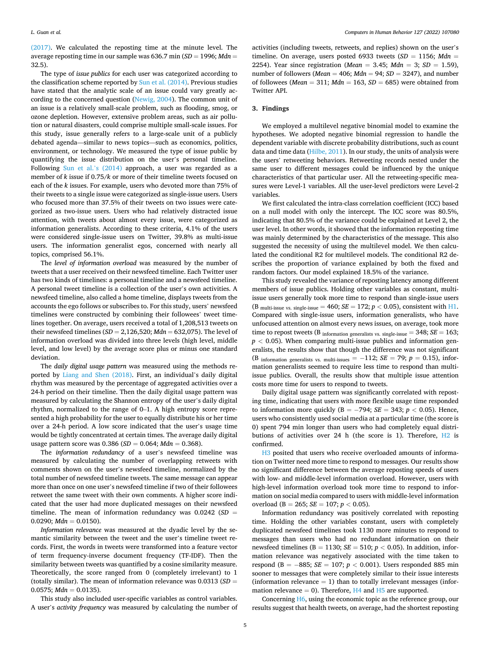[\(2017\).](#page-7-0) We calculated the reposting time at the minute level. The average reposting time in our sample was 636.7 min (*SD* = 1996; *Mdn* = 32.5).

The type of *issue publics* for each user was categorized according to the classification scheme reported by [Sun et al. \(2014\).](#page-7-0) Previous studies have stated that the analytic scale of an issue could vary greatly according to the concerned question ([Newig, 2004\)](#page-7-0). The common unit of an issue is a relatively small-scale problem, such as flooding, smog, or ozone depletion. However, extensive problem areas, such as air pollution or natural disasters, could comprise multiple small-scale issues. For this study, issue generally refers to a large-scale unit of a publicly debated agenda—similar to news topics—such as economics, politics, environment, or technology. We measured the type of issue public by quantifying the issue distribution on the user's personal timeline. Following [Sun et al.](#page-7-0)'s (2014) approach, a user was regarded as a member of *k* issue if 0.75/*k* or more of their timeline tweets focused on each of the *k* issues. For example, users who devoted more than 75% of their tweets to a single issue were categorized as single-issue users. Users who focused more than 37.5% of their tweets on two issues were categorized as two-issue users. Users who had relatively distracted issue attention, with tweets about almost every issue, were categorized as information generalists. According to these criteria, 4.1% of the users were considered single-issue users on Twitter, 39.8% as multi-issue users. The information generalist egos, concerned with nearly all topics, comprised 56.1%.

The *level of information overload* was measured by the number of tweets that a user received on their newsfeed timeline. Each Twitter user has two kinds of timelines: a personal timeline and a newsfeed timeline. A personal tweet timeline is a collection of the user's own activities. A newsfeed timeline, also called a home timeline, displays tweets from the accounts the ego follows or subscribes to. For this study, users' newsfeed timelines were constructed by combining their followees' tweet timelines together. On average, users received a total of 1,208,513 tweets on their newsfeed timelines (*SD* = 2,126,520; *Mdn* = 632,075). The level of information overload was divided into three levels (high level, middle level, and low level) by the average score plus or minus one standard deviation.

The *daily digital usage pattern* was measured using the methods reported by [Liang and Shen \(2018\)](#page-6-0). First, an individual's daily digital rhythm was measured by the percentage of aggregated activities over a 24-h period on their timeline. Then the daily digital usage pattern was measured by calculating the Shannon entropy of the user's daily digital rhythm, normalized to the range of 0–1. A high entropy score represented a high probability for the user to equally distribute his or her time over a 24-h period. A low score indicated that the user's usage time would be tightly concentrated at certain times. The average daily digital usage pattern score was 0.386 (*SD* = 0.064; *Mdn* = 0.368).

The *information redundancy* of a user's newsfeed timeline was measured by calculating the number of overlapping retweets with comments shown on the user's newsfeed timeline, normalized by the total number of newsfeed timeline tweets. The same message can appear more than once on one user's newsfeed timeline if two of their followees retweet the same tweet with their own comments. A higher score indicated that the user had more duplicated messages on their newsfeed timeline. The mean of information redundancy was 0.0242 (*SD* =  $0.0290$ ; *Mdn* = 0.0150).

*Information relevance* was measured at the dyadic level by the semantic similarity between the tweet and the user's timeline tweet records. First, the words in tweets were transformed into a feature vector of term frequency-inverse document frequency (TF-IDF). Then the similarity between tweets was quantified by a cosine similarity measure. Theoretically, the score ranged from 0 (completely irrelevant) to 1 (totally similar). The mean of information relevance was 0.0313 (*SD* =  $0.0575$ ; *Mdn* = 0.0135).

This study also included user-specific variables as control variables. A user's *activity frequency* was measured by calculating the number of activities (including tweets, retweets, and replies) shown on the user's timeline. On average, users posted 6933 tweets  $(SD = 1156; Mdn =$ 2254). Year since registration (*Mean* = 3.45; *Mdn* = 3; *SD* = 1.59), number of followers (*Mean* = 406; *Mdn* = 94; *SD* = 3247), and number of followees (*Mean* = 311; *Mdn* = 163, *SD* = 685) were obtained from Twitter API.

## **3. Findings**

We employed a multilevel negative binomial model to examine the hypotheses. We adopted negative binomial regression to handle the dependent variable with discrete probability distributions, such as count data and time data [\(Hilbe, 2011](#page-6-0)). In our study, the units of analysis were the users' retweeting behaviors. Retweeting records nested under the same user to different messages could be influenced by the unique characteristics of that particular user. All the retweeting-specific measures were Level-1 variables. All the user-level predictors were Level-2 variables.

We first calculated the intra-class correlation coefficient (ICC) based on a null model with only the intercept. The ICC score was 80.5%, indicating that 80.5% of the variance could be explained at Level 2, the user level. In other words, it showed that the information reposting time was mainly determined by the characteristics of the message. This also suggested the necessity of using the multilevel model. We then calculated the conditional R2 for multilevel models. The conditional R2 describes the proportion of variance explained by both the fixed and random factors. Our model explained 18.5% of the variance.

This study revealed the variance of reposting latency among different members of issue publics. Holding other variables as constant, multiissue users generally took more time to respond than single-issue users (B multi-issue vs. single-issue = 460;  $SE = 172$ ;  $p < 0.05$ ), consistent with  $H1$ . Compared with single-issue users, information generalists, who have unfocused attention on almost every news issues, on average, took more time to repost tweets (B information generalists vs. single-issue  $=$  348;  $SE = 163$ ;  $p < 0.05$ ). When comparing multi-issue publics and information generalists, the results show that though the difference was not significant (B information generalists vs. multi-issues =  $-112$ ;  $SE = 79$ ;  $p = 0.15$ ), information generalists seemed to require less time to respond than multiissue publics. Overall, the results show that multiple issue attention costs more time for users to respond to tweets.

Daily digital usage pattern was significantly correlated with reposting time, indicating that users with more flexible usage time responded to information more quickly (B =  $-794$ ; *SE* = 343; *p* < 0.05). Hence, users who consistently used social media at a particular time (the score is 0) spent 794 min longer than users who had completely equal distributions of activities over 24 h (the score is 1). Therefore, [H2](#page-2-0) is confirmed.

[H3](#page-2-0) posited that users who receive overloaded amounts of information on Twitter need more time to respond to messages. Our results show no significant difference between the average reposting speeds of users with low- and middle-level information overload. However, users with high-level information overload took more time to respond to information on social media compared to users with middle-level information overload (B = 265; *SE* = 107; *p <* 0.05).

Information redundancy was positively correlated with reposting time. Holding the other variables constant, users with completely duplicated newsfeed timelines took 1130 more minutes to respond to messages than users who had no redundant information on their newsfeed timelines ( $B = 1130$ ;  $SE = 510$ ;  $p < 0.05$ ). In addition, information relevance was negatively associated with the time taken to respond (B = − 885; *SE* = 107; *p <* 0.001). Users responded 885 min sooner to messages that were completely similar to their issue interests (information relevance  $= 1$ ) than to totally irrelevant messages (information relevance  $= 0$ ). Therefore,  $H4$  and  $H5$  are supported.

Concerning [H6](#page-2-0), using the economic topic as the reference group, our results suggest that health tweets, on average, had the shortest reposting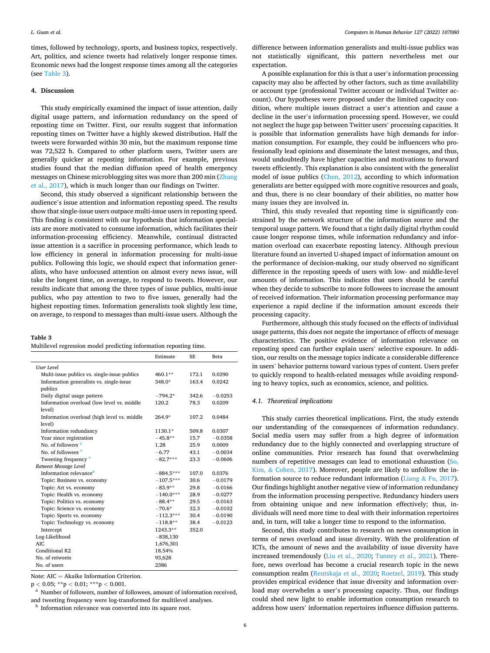times, followed by technology, sports, and business topics, respectively. Art, politics, and science tweets had relatively longer response times. Economic news had the longest response times among all the categories (see Table 3).

# **4. Discussion**

This study empirically examined the impact of issue attention, daily digital usage pattern, and information redundancy on the speed of reposting time on Twitter. First, our results suggest that information reposting times on Twitter have a highly skewed distribution. Half the tweets were forwarded within 30 min, but the maximum response time was 72,522 h. Compared to other platform users, Twitter users are generally quicker at reposting information. For example, previous studies found that the median diffusion speed of health emergency messages on Chinese microblogging sites was more than 200 min ([Zhang](#page-7-0)  [et al., 2017\)](#page-7-0), which is much longer than our findings on Twitter.

Second, this study observed a significant relationship between the audience's issue attention and information reposting speed. The results show that single-issue users outpace multi-issue users in reposting speed. This finding is consistent with our hypothesis that information specialists are more motivated to consume information, which facilitates their information-processing efficiency. Meanwhile, continual distracted issue attention is a sacrifice in processing performance, which leads to low efficiency in general in information processing for multi-issue publics. Following this logic, we should expect that information generalists, who have unfocused attention on almost every news issue, will take the longest time, on average, to respond to tweets. However, our results indicate that among the three types of issue publics, multi-issue publics, who pay attention to two to five issues, generally had the highest reposting times. Information generalists took slightly less time, on average, to respond to messages than multi-issue users. Although the

# **Table 3**

Multilevel regression model predicting information reposting time.

|                                              | Estimate    | <b>SE</b> | Beta      |
|----------------------------------------------|-------------|-----------|-----------|
| <b>User Level</b>                            |             |           |           |
| Multi-issue publics vs. single-issue publics | 460.1**     | 172.1     | 0.0290    |
| Information generalists vs. single-issue     | 348.0*      | 163.4     | 0.0242    |
| publics                                      |             |           |           |
| Daily digital usage pattern                  | $-794.2*$   | 342.6     | $-0.0253$ |
| Information overload (low level vs. middle   | 120.2       | 78.3      | 0.0209    |
| level)                                       |             |           |           |
| Information overload (high level vs. middle  | $264.9*$    | 107.2     | 0.0484    |
| level)                                       |             |           |           |
| Information redundancy                       | 1130.1*     | 509.8     | 0.0307    |
| Year since registration                      | $-45.8**$   | 15.7      | $-0.0358$ |
| No. of followers <sup>a</sup>                | 1.28        | 25.9      | 0.0009    |
| No. of followees <sup>a</sup>                | $-6.77$     | 43.1      | $-0.0034$ |
| Tweeting frequency <sup>a</sup>              | $-82.7***$  | 23.3      | $-0.0606$ |
| Retweet Message Level                        |             |           |           |
| Information relevance <sup>b</sup>           | $-884.5***$ | 107.0     | 0.0376    |
| Topic: Business vs. economy                  | $-107.5***$ | 30.6      | $-0.0179$ |
| Topic: Art vs. economy                       | $-83.9**$   | 29.8      | $-0.0166$ |
| Topic: Health vs. economy                    | $-140.0***$ | 28.9      | $-0.0277$ |
| Topic: Politics vs. economy                  | $-88.4**$   | 29.5      | $-0.0163$ |
| Topic: Science vs. economy                   | $-70.6*$    | 32.3      | $-0.0102$ |
| Topic: Sports vs. economy                    | $-112.3***$ | 30.4      | $-0.0190$ |
| Topic: Technology vs. economy                | $-118.8**$  | 38.4      | $-0.0123$ |
| Intercept                                    | 1243.3**    | 352.0     |           |
| Log-Likelihood                               | $-838,130$  |           |           |
| AIC.                                         | 1,676,301   |           |           |
| Conditional R2                               | 18.54%      |           |           |
| No. of retweets                              | 93,628      |           |           |
| No. of users                                 | 2386        |           |           |

Note: AIC = Akaike Information Criterion.

<sup>p</sup>*<sup>&</sup>lt;* 0.05; \*\*p *<sup>&</sup>lt;* 0.01; \*\*\*p *<sup>&</sup>lt;* 0.001. a Number of followers, number of followees, amount of information received, and tweeting frequency were log-transformed for multilevel analyses.  $^{\rm b}$  Information relevance was converted into its square root.

difference between information generalists and multi-issue publics was not statistically significant, this pattern nevertheless met our expectation.

A possible explanation for this is that a user's information processing capacity may also be affected by other factors, such as time availability or account type (professional Twitter account or individual Twitter account). Our hypotheses were proposed under the limited capacity condition, where multiple issues distract a user's attention and cause a decline in the user's information processing speed. However, we could not neglect the huge gap between Twitter users' processing capacities. It is possible that information generalists have high demands for information consumption. For example, they could be influencers who professionally lead opinions and disseminate the latest messages, and thus, would undoubtedly have higher capacities and motivations to forward tweets efficiently. This explanation is also consistent with the generalist model of issue publics [\(Chen, 2012\)](#page-6-0), according to which information generalists are better equipped with more cognitive resources and goals, and thus, there is no clear boundary of their abilities, no matter how many issues they are involved in.

Third, this study revealed that reposting time is significantly constrained by the network structure of the information source and the temporal usage pattern. We found that a tight daily digital rhythm could cause longer response times, while information redundancy and information overload can exacerbate reposting latency. Although previous literature found an inverted U-shaped impact of information amount on the performance of decision-making, our study observed no significant difference in the reposting speeds of users with low- and middle-level amounts of information. This indicates that users should be careful when they decide to subscribe to more followees to increase the amount of received information. Their information processing performance may experience a rapid decline if the information amount exceeds their processing capacity.

Furthermore, although this study focused on the effects of individual usage patterns, this does not negate the importance of effects of message characteristics. The positive evidence of information relevance on reposting speed can further explain users' selective exposure. In addition, our results on the message topics indicate a considerable difference in users' behavior patterns toward various types of content. Users prefer to quickly respond to health-related messages while avoiding responding to heavy topics, such as economics, science, and politics.

# *4.1. Theoretical implications*

This study carries theoretical implications. First, the study extends our understanding of the consequences of information redundancy. Social media users may suffer from a high degree of information redundancy due to the highly connected and overlapping structure of online communities. Prior research has found that overwhelming numbers of repetitive messages can lead to emotional exhaustion ([So,](#page-7-0)  Kim,  $& Cohen, 2017$  $& Cohen, 2017$ ). Moreover, people are likely to unfollow the information source to reduce redundant information (Liang  $&$  [Fu, 2017](#page-6-0)). Our findings highlight another negative view of information redundancy from the information processing perspective. Redundancy hinders users from obtaining unique and new information effectively; thus, individuals will need more time to deal with their information repertoires and, in turn, will take a longer time to respond to the information.

Second, this study contributes to research on news consumption in terms of news overload and issue diversity. With the proliferation of ICTs, the amount of news and the availability of issue diversity have increased tremendously ([Liu et al., 2020;](#page-6-0) [Tunney et al., 2021\)](#page-7-0). Therefore, news overload has become a crucial research topic in the news consumption realm ([Reutskaja et al., 2020;](#page-7-0) [Roetzel, 2019\)](#page-7-0). This study provides empirical evidence that issue diversity and information overload may overwhelm a user's processing capacity. Thus, our findings could shed new light to enable information consumption research to address how users' information repertoires influence diffusion patterns.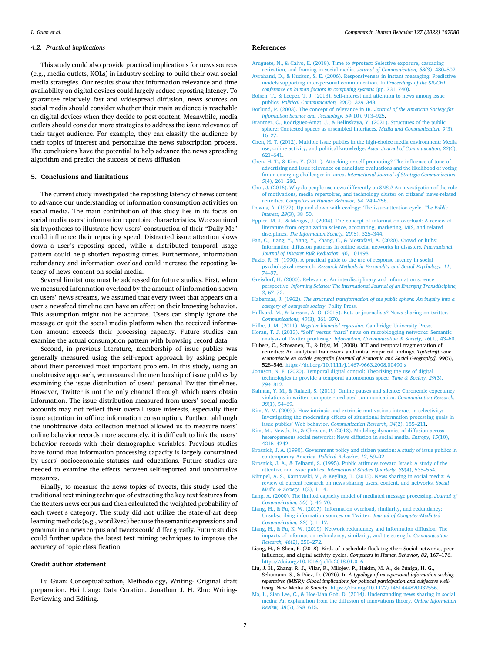## <span id="page-6-0"></span>*4.2. Practical implications*

This study could also provide practical implications for news sources (e.g., media outlets, KOLs) in industry seeking to build their own social media strategies. Our results show that information relevance and time availability on digital devices could largely reduce reposting latency. To guarantee relatively fast and widespread diffusion, news sources on social media should consider whether their main audience is reachable on digital devices when they decide to post content. Meanwhile, media outlets should consider more strategies to address the issue relevance of their target audience. For example, they can classify the audience by their topics of interest and personalize the news subscription process. The conclusions have the potential to help advance the news spreading algorithm and predict the success of news diffusion.

# **5. Conclusions and limitations**

The current study investigated the reposting latency of news content to advance our understanding of information consumption activities on social media. The main contribution of this study lies in its focus on social media users' information repertoire characteristics. We examined six hypotheses to illustrate how users' construction of their "Daily Me" could influence their reposting speed. Distracted issue attention slows down a user's reposting speed, while a distributed temporal usage pattern could help shorten reposting times. Furthermore, information redundancy and information overload could increase the reposting latency of news content on social media.

Several limitations must be addressed for future studies. First, when we measured information overload by the amount of information shown on users' news streams, we assumed that every tweet that appears on a user's newsfeed timeline can have an effect on their browsing behavior. This assumption might not be accurate. Users can simply ignore the message or quit the social media platform when the received information amount exceeds their processing capacity. Future studies can examine the actual consumption pattern with browsing record data.

Second, in previous literature, membership of issue publics was generally measured using the self-report approach by asking people about their perceived most important problem. In this study, using an unobtrusive approach, we measured the membership of issue publics by examining the issue distribution of users' personal Twitter timelines. However, Twitter is not the only channel through which users obtain information. The issue distribution measured from users' social media accounts may not reflect their overall issue interests, especially their issue attention in offline information consumption. Further, although the unobtrusive data collection method allowed us to measure users' online behavior records more accurately, it is difficult to link the users' behavior records with their demographic variables. Previous studies have found that information processing capacity is largely constrained by users' socioeconomic statuses and educations. Future studies are needed to examine the effects between self-reported and unobtrusive measures.

Finally, to measure the news topics of tweets, this study used the traditional text mining technique of extracting the key text features from the Reuters news corpus and then calculated the weighted probability of each tweet's category. The study did not utilize the state-of-art deep learning methods (e.g., word2vec) because the semantic expressions and grammar in a news corpus and tweets could differ greatly. Future studies could further update the latest text mining techniques to improve the accuracy of topic classification.

# **Credit author statement**

Lu Guan: Conceptualization, Methodology, Writing- Original draft preparation. Hai Liang: Data Curation. Jonathan J. H. Zhu: Writing-Reviewing and Editing.

#### **References**

- [Aruguete, N., & Calvo, E. \(2018\). Time to #protest: Selective exposure, cascading](http://refhub.elsevier.com/S0747-5632(21)00403-9/sref1)  [activation, and framing in social media.](http://refhub.elsevier.com/S0747-5632(21)00403-9/sref1) *Journal of Communication, 68*(3), 480–502.
- [Avrahami, D., & Hudson, S. E. \(2006\). Responsiveness in instant messaging: Predictive](http://refhub.elsevier.com/S0747-5632(21)00403-9/sref2) [models supporting inter-personal communication. In](http://refhub.elsevier.com/S0747-5632(21)00403-9/sref2) *Proceedings of the SIGCHI*
- *[conference on human factors in computing systems](http://refhub.elsevier.com/S0747-5632(21)00403-9/sref2)* (pp. 731–740). [Bolsen, T., & Leeper, T. J. \(2013\). Self-interest and attention to news among issue](http://refhub.elsevier.com/S0747-5632(21)00403-9/sref3)
- publics. *[Political Communication, 30](http://refhub.elsevier.com/S0747-5632(21)00403-9/sref3)*(3), 329–348. [Borlund, P. \(2003\). The concept of relevance in IR.](http://refhub.elsevier.com/S0747-5632(21)00403-9/sref4) *Journal of the American Society for*
- *[Information Science and Technology, 54](http://refhub.elsevier.com/S0747-5632(21)00403-9/sref4)*(10), 913–925.
- [Brantner, C., Rodriguez-Amat, J., & Belinskaya, Y. \(2021\). Structures of the public](http://refhub.elsevier.com/S0747-5632(21)00403-9/sref5)  [sphere: Contested spaces as assembled interfaces.](http://refhub.elsevier.com/S0747-5632(21)00403-9/sref5) *Media and Communication, 9*(3), 16–[27](http://refhub.elsevier.com/S0747-5632(21)00403-9/sref5).
- [Chen, H. T. \(2012\). Multiple issue publics in the high-choice media environment: Media](http://refhub.elsevier.com/S0747-5632(21)00403-9/sref6)  [use, online activity, and political knowledge.](http://refhub.elsevier.com/S0747-5632(21)00403-9/sref6) *Asian Journal of Communication, 22*(6), 621–[641](http://refhub.elsevier.com/S0747-5632(21)00403-9/sref6).
- [Chen, H. T., & Kim, Y. \(2011\). Attacking or self-promoting? The influence of tone of](http://refhub.elsevier.com/S0747-5632(21)00403-9/sref7) [advertising and issue relevance on candidate evaluations and the likelihood of voting](http://refhub.elsevier.com/S0747-5632(21)00403-9/sref7)  for an emerging challenger in korea. *[International Journal of Strategic Communication,](http://refhub.elsevier.com/S0747-5632(21)00403-9/sref7)  5*[\(4\), 261](http://refhub.elsevier.com/S0747-5632(21)00403-9/sref7)–280.
- [Choi, J. \(2016\). Why do people use news differently on SNSs? An investigation of the role](http://refhub.elsevier.com/S0747-5632(21)00403-9/sref8)  [of motivations, media repertoires, and technology cluster on citizens](http://refhub.elsevier.com/S0747-5632(21)00403-9/sref8)' news-related activities. *[Computers in Human Behavior, 54](http://refhub.elsevier.com/S0747-5632(21)00403-9/sref8)*, 249–256.
- [Downs, A. \(1972\). Up and down with ecology: The issue-attention cycle.](http://refhub.elsevier.com/S0747-5632(21)00403-9/sref9) *The Public [Interest, 28](http://refhub.elsevier.com/S0747-5632(21)00403-9/sref9)*(3), 38–50.
- [Eppler, M. J., & Mengis, J. \(2004\). The concept of information overload: A review of](http://refhub.elsevier.com/S0747-5632(21)00403-9/sref10)  [literature from organization science, accounting, marketing, MIS, and related](http://refhub.elsevier.com/S0747-5632(21)00403-9/sref10) disciplines. *[The Information Society, 20](http://refhub.elsevier.com/S0747-5632(21)00403-9/sref10)*(5), 325–344.
- [Fan, C., Jiang, Y., Yang, Y., Zhang, C., & Mostafavi, A. \(2020\). Crowd or hubs:](http://refhub.elsevier.com/S0747-5632(21)00403-9/sref11)  [Information diffusion patterns in online social networks in disasters.](http://refhub.elsevier.com/S0747-5632(21)00403-9/sref11) *International [Journal of Disaster Risk Reduction, 46](http://refhub.elsevier.com/S0747-5632(21)00403-9/sref11)*, 101498.
- [Fazio, R. H. \(1990\). A practical guide to the use of response latency in social](http://refhub.elsevier.com/S0747-5632(21)00403-9/sref12)  psychological research. *[Research Methods in Personality and Social Psychology, 11](http://refhub.elsevier.com/S0747-5632(21)00403-9/sref12)*, 74–[97](http://refhub.elsevier.com/S0747-5632(21)00403-9/sref12).
- [Greisdorf, H. \(2000\). Relevance: An interdisciplinary and information science](http://refhub.elsevier.com/S0747-5632(21)00403-9/sref13)  perspective. *[Informing Science: The International Journal of an Emerging Transdiscipline,](http://refhub.elsevier.com/S0747-5632(21)00403-9/sref13)  3*[, 67](http://refhub.elsevier.com/S0747-5632(21)00403-9/sref13)–72.
- Habermas, J. (1962). *[The structural transformation of the public sphere: An inquiry into a](http://refhub.elsevier.com/S0747-5632(21)00403-9/sref14)  [category of bourgeois society](http://refhub.elsevier.com/S0747-5632(21)00403-9/sref14)*. Polity Press.
- [Hallvard, M., & Larsson, A. O. \(2015\). Bots or journalists? News sharing on twitter.](http://refhub.elsevier.com/S0747-5632(21)00403-9/sref15) *[Communications, 40](http://refhub.elsevier.com/S0747-5632(21)00403-9/sref15)*(3), 361–370.
- Hilbe, J. M. (2011). *Negative binomial regression*[. Cambridge University Press.](http://refhub.elsevier.com/S0747-5632(21)00403-9/sref16)
- Horan, T. J. (2013). "Soft" versus "hard" [news on microblogging networks: Semantic](http://refhub.elsevier.com/S0747-5632(21)00403-9/sref17) [analysis of Twitter produsage.](http://refhub.elsevier.com/S0747-5632(21)00403-9/sref17) *Information, Communication & Society, 16*(1), 43–60.
- Hubers, C., Schwanen, T., & Dijst, M. (2008). ICT and temporal fragmentation of activities: An analytical framework and initial empirical findings. *Tijdschrift voor economische en sociale geografie [Journal of Economic and Social Geography], 99*(5), 528–546. <https://doi.org/10.1111/j.1467-9663.2008.00490.x>
- [Johnson, N. F. \(2020\). Temporal digital control: Theorizing the use of digital](http://refhub.elsevier.com/S0747-5632(21)00403-9/sref19)  [technologies to provide a temporal autonomous space.](http://refhub.elsevier.com/S0747-5632(21)00403-9/sref19) *Time & Society, 29*(3), 794–[812](http://refhub.elsevier.com/S0747-5632(21)00403-9/sref19).
- [Kalman, Y. M., & Rafaeli, S. \(2011\). Online pauses and silence: Chronemic expectancy](http://refhub.elsevier.com/S0747-5632(21)00403-9/sref20) [violations in written computer-mediated communication.](http://refhub.elsevier.com/S0747-5632(21)00403-9/sref20) *Communication Research,*  38[\(1\), 54](http://refhub.elsevier.com/S0747-5632(21)00403-9/sref20)–69
- [Kim, Y. M. \(2007\). How intrinsic and extrinsic motivations interact in selectivity:](http://refhub.elsevier.com/S0747-5632(21)00403-9/sref21) [Investigating the moderating effects of situational information processing goals in](http://refhub.elsevier.com/S0747-5632(21)00403-9/sref21) issue publics' Web behavior. *[Communication Research, 34](http://refhub.elsevier.com/S0747-5632(21)00403-9/sref21)*(2), 185–211.
- [Kim, M., Newth, D., & Christen, P. \(2013\). Modeling dynamics of diffusion across](http://refhub.elsevier.com/S0747-5632(21)00403-9/sref22)  [heterogeneous social networks: News diffusion in social media.](http://refhub.elsevier.com/S0747-5632(21)00403-9/sref22) *Entropy, 15*(10), [4215](http://refhub.elsevier.com/S0747-5632(21)00403-9/sref22)–4242.
- [Krosnick, J. A. \(1990\). Government policy and citizen passion: A study of issue publics in](http://refhub.elsevier.com/S0747-5632(21)00403-9/sref23)  [contemporary America.](http://refhub.elsevier.com/S0747-5632(21)00403-9/sref23) *Political Behavior, 12*, 59–92.
- [Krosnick, J. A., & Telhami, S. \(1995\). Public attitudes toward Israel: A study of the](http://refhub.elsevier.com/S0747-5632(21)00403-9/sref24) attentive and issue publics. *[International Studies Quarterly, 39](http://refhub.elsevier.com/S0747-5632(21)00403-9/sref24)*(4), 535–554.
- [Kümpel, A. S., Karnowski, V., & Keyling, T. \(2015\). News sharing in social media: A](http://refhub.elsevier.com/S0747-5632(21)00403-9/sref25) [review of current research on news sharing users, content, and networks.](http://refhub.elsevier.com/S0747-5632(21)00403-9/sref25) *Social Media & [Society, 1](http://refhub.elsevier.com/S0747-5632(21)00403-9/sref25)*(2), 1–14.
- [Lang, A. \(2000\). The limited capacity model of mediated message processing.](http://refhub.elsevier.com/S0747-5632(21)00403-9/sref26) *Journal of [Communication, 50](http://refhub.elsevier.com/S0747-5632(21)00403-9/sref26)*(1), 46–70.
- [Liang, H., & Fu, K. W. \(2017\). Information overload, similarity, and redundancy:](http://refhub.elsevier.com/S0747-5632(21)00403-9/sref27)  [Unsubscribing information sources on Twitter.](http://refhub.elsevier.com/S0747-5632(21)00403-9/sref27) *Journal of Computer-Mediated [Communication, 22](http://refhub.elsevier.com/S0747-5632(21)00403-9/sref27)*(1), 1–17.
- [Liang, H., & Fu, K. W. \(2019\). Network redundancy and information diffusion: The](http://refhub.elsevier.com/S0747-5632(21)00403-9/sref28) [impacts of information redundancy, similarity, and tie strength.](http://refhub.elsevier.com/S0747-5632(21)00403-9/sref28) *Communication [Research, 46](http://refhub.elsevier.com/S0747-5632(21)00403-9/sref28)*(2), 250–272.
- Liang, H., & Shen, F. (2018). Birds of a schedule flock together: Social networks, peer influence, and digital activity cycles. *Computers in Human Behavior, 82*, 167–176. <https://doi.org/10.1016/j.chb.2018.01.016>
- Liu, J. H., Zhang, R. J., Vilar, R., Milojev, P., Hakim, M. A., de Zúñiga, H. G., Schumann, S., & Páez, D. (2020). In *A typology of masspersonal information seeking repertoires (MISR): Global implications for political participation and subjective wellbeing*. New Media & Society. <https://doi.org/10.1177/1461444820932556>.
- [Ma, L., Sian Lee, C., & Hoe-Lian Goh, D. \(2014\). Understanding news sharing in social](http://refhub.elsevier.com/S0747-5632(21)00403-9/sref31)  [media: An explanation from the diffusion of innovations theory.](http://refhub.elsevier.com/S0747-5632(21)00403-9/sref31) *Online Information [Review, 38](http://refhub.elsevier.com/S0747-5632(21)00403-9/sref31)*(5), 598–615.